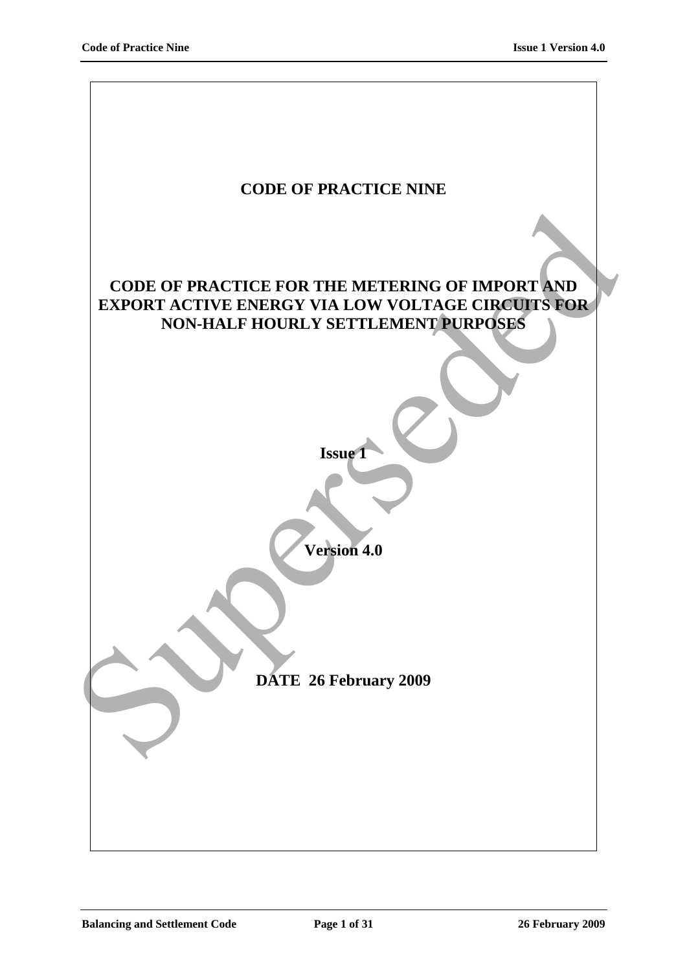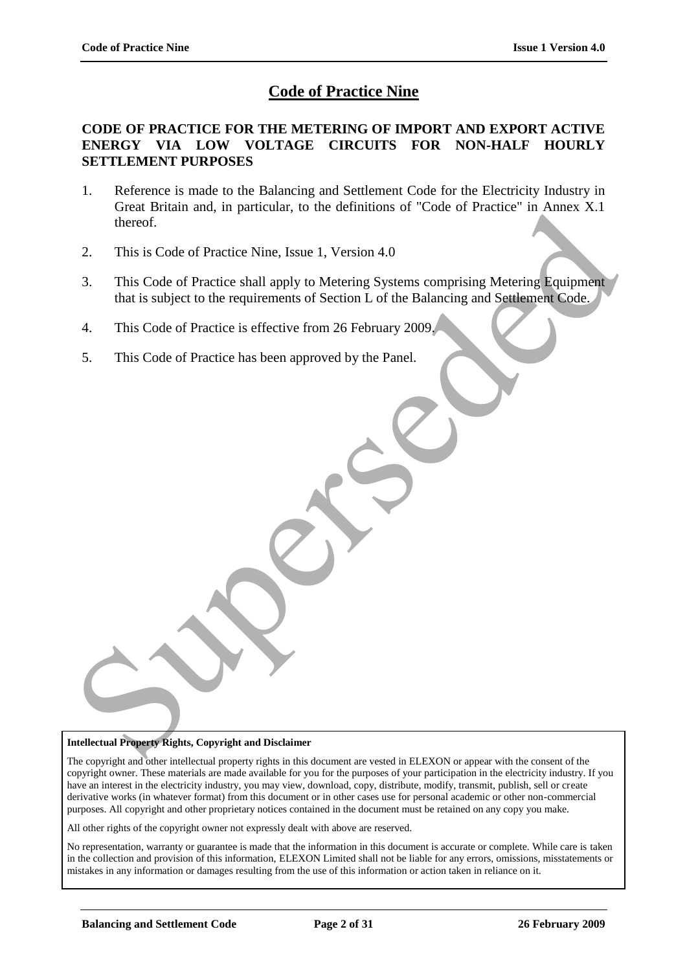# **Code of Practice Nine**

#### **CODE OF PRACTICE FOR THE METERING OF IMPORT AND EXPORT ACTIVE ENERGY VIA LOW VOLTAGE CIRCUITS FOR NON-HALF HOURLY SETTLEMENT PURPOSES**

- 1. Reference is made to the Balancing and Settlement Code for the Electricity Industry in Great Britain and, in particular, to the definitions of "Code of Practice" in Annex X.1 thereof.
- 2. This is Code of Practice Nine, Issue 1, Version 4.0
- 3. This Code of Practice shall apply to Metering Systems comprising Metering Equipment that is subject to the requirements of Section L of the Balancing and Settlement Code. Suelar antari and the there of the theorem.<br>
This is Code of Practice Shall apply to Metering Systems comprising Metering Equipment<br>
3. This Code of Practice shall apply to Metering Systems comprising Metering Equipment<br>
4
	- 4. This Code of Practice is effective from 26 February 2009.
	- 5. This Code of Practice has been approved by the Panel.

#### **Intellectual Property Rights, Copyright and Disclaimer**

The copyright and other intellectual property rights in this document are vested in ELEXON or appear with the consent of the copyright owner. These materials are made available for you for the purposes of your participation in the electricity industry. If you have an interest in the electricity industry, you may view, download, copy, distribute, modify, transmit, publish, sell or create derivative works (in whatever format) from this document or in other cases use for personal academic or other non-commercial purposes. All copyright and other proprietary notices contained in the document must be retained on any copy you make.

All other rights of the copyright owner not expressly dealt with above are reserved.

No representation, warranty or guarantee is made that the information in this document is accurate or complete. While care is taken in the collection and provision of this information, ELEXON Limited shall not be liable for any errors, omissions, misstatements or mistakes in any information or damages resulting from the use of this information or action taken in reliance on it.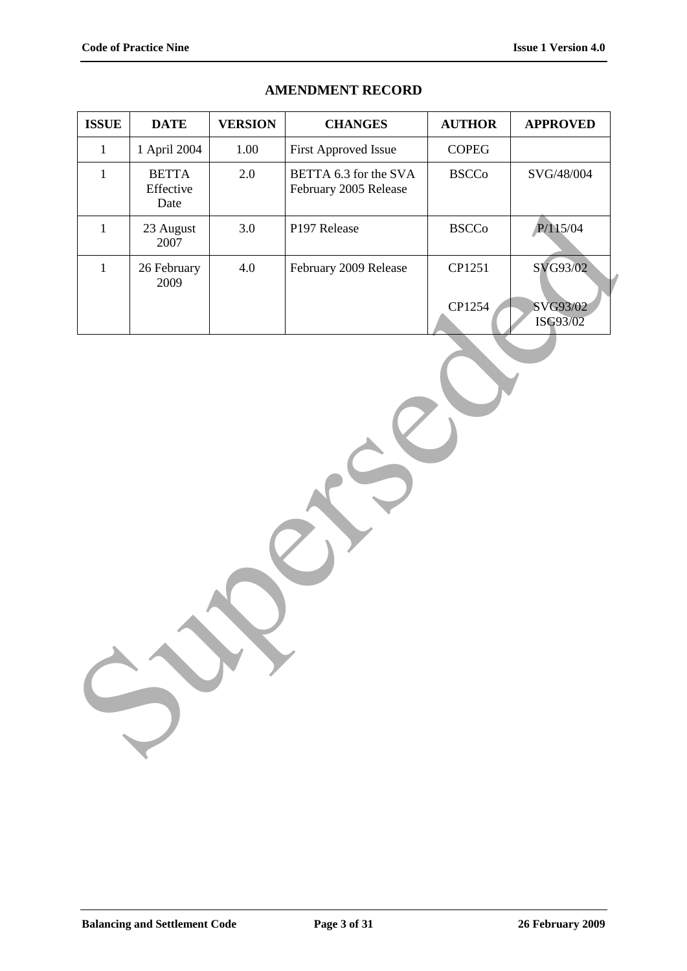| <b>ISSUE</b> | <b>DATE</b>                       | <b>VERSION</b> | <b>CHANGES</b>                                 | <b>AUTHOR</b>          | <b>APPROVED</b>      |
|--------------|-----------------------------------|----------------|------------------------------------------------|------------------------|----------------------|
| $\mathbf{1}$ | 1 April 2004                      | 1.00           | First Approved Issue                           | $\sf{COPEG}$           |                      |
| $\mathbf 1$  | <b>BETTA</b><br>Effective<br>Date | 2.0            | BETTA 6.3 for the SVA<br>February 2005 Release | $\operatorname{BSCCo}$ | SVG/48/004           |
| $1\,$        | 23 August<br>2007                 | 3.0            | P197 Release                                   | $\operatorname{BSCCo}$ | P/115/04             |
| $\mathbf{1}$ | 26 February<br>2009               | 4.0            | February 2009 Release                          | CP1251<br>CP1254       | SVG93/02<br>SVG93/02 |
|              |                                   |                |                                                |                        |                      |

### **AMENDMENT RECORD**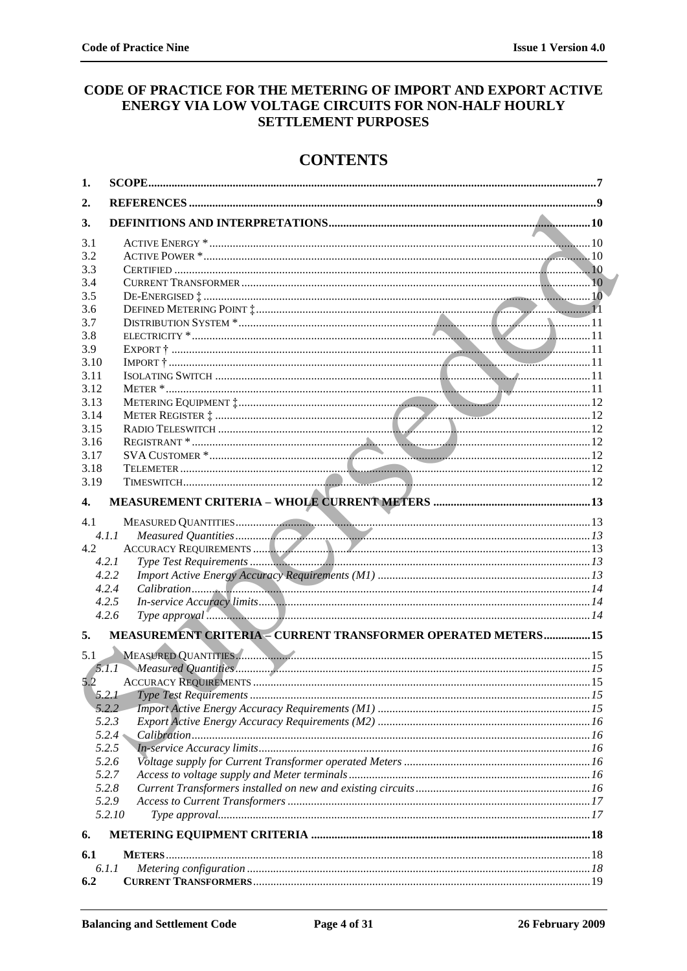## CODE OF PRACTICE FOR THE METERING OF IMPORT AND EXPORT ACTIVE ENERGY VIA LOW VOLTAGE CIRCUITS FOR NON-HALF HOURLY **SETTLEMENT PURPOSES**

# **CONTENTS**

| 1.           |                                                              |
|--------------|--------------------------------------------------------------|
| 2.           |                                                              |
| 3.           |                                                              |
| 3.1          |                                                              |
| 3.2          |                                                              |
| 3.3          |                                                              |
| 3.4          |                                                              |
| 3.5          |                                                              |
| 3.6          |                                                              |
| 3.7          |                                                              |
| 3.8          |                                                              |
| 3.9          |                                                              |
| 3.10         |                                                              |
| 3.11         |                                                              |
| 3.12         |                                                              |
| 3.13         |                                                              |
| 3.14         |                                                              |
| 3.15         |                                                              |
| 3.16         |                                                              |
| 3.17         |                                                              |
| 3.18         |                                                              |
| 3.19         |                                                              |
| $\mathbf{4}$ |                                                              |
| 4.1          |                                                              |
|              | 4.1.1                                                        |
| 4.2          |                                                              |
|              | 4.2.1                                                        |
|              | 4.2.2                                                        |
|              | 4.2.4                                                        |
|              | 4.2.5                                                        |
|              | 4.2.6                                                        |
| 5.           | MEASUREMENT CRITERIA - CURRENT TRANSFORMER OPERATED METERS15 |
|              | MEASURED QUANTITIES.                                         |
|              |                                                              |
| 5.2          |                                                              |
|              |                                                              |
|              | 5.2.2                                                        |
|              | 5.2.3                                                        |
|              | 5.2.4                                                        |
|              | 5.2.5                                                        |
|              | 5.2.6                                                        |
|              | 5.2.7                                                        |
|              | 5.2.8                                                        |
|              | 5.2.9<br>5.2.10                                              |
|              |                                                              |
| 6.           |                                                              |
| 6.1          |                                                              |
|              | 6.1.1                                                        |
| 6.2          |                                                              |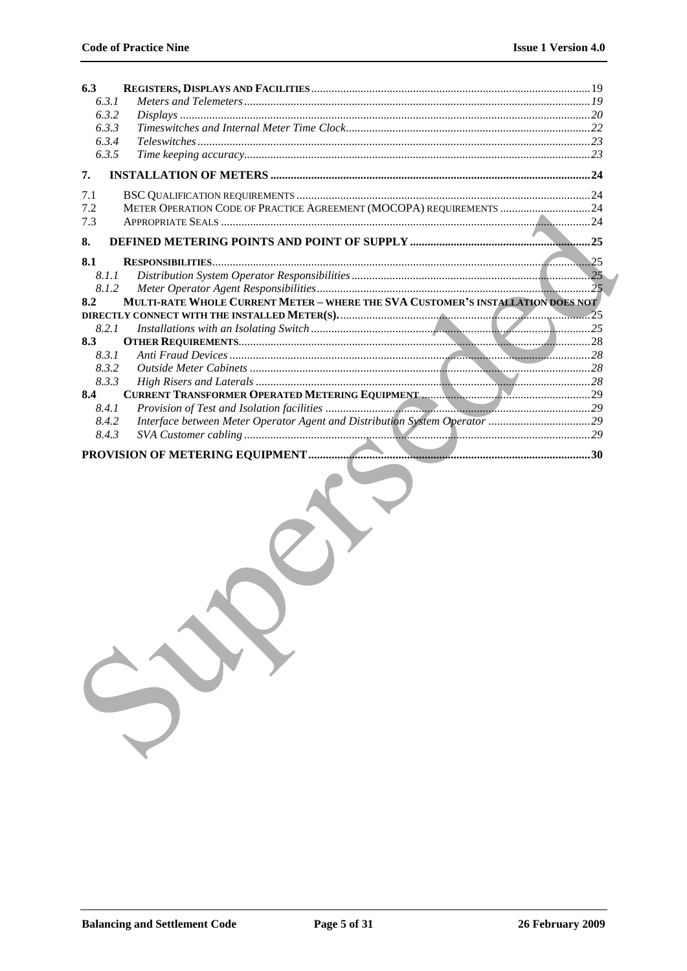| 6.3   |                                                                                 |  |  |
|-------|---------------------------------------------------------------------------------|--|--|
| 6.3.1 |                                                                                 |  |  |
| 6.3.2 |                                                                                 |  |  |
| 6.3.3 |                                                                                 |  |  |
| 6.3.4 |                                                                                 |  |  |
| 6.3.5 |                                                                                 |  |  |
| 7.    |                                                                                 |  |  |
| 7.1   |                                                                                 |  |  |
| 7.2   | METER OPERATION CODE OF PRACTICE AGREEMENT (MOCOPA) REQUIREMENTS  24            |  |  |
| 7.3   |                                                                                 |  |  |
| 8.    |                                                                                 |  |  |
| 8.1   | .25                                                                             |  |  |
| 8.1.1 |                                                                                 |  |  |
| 8.1.2 |                                                                                 |  |  |
| 8.2   | MULTI-RATE WHOLE CURRENT METER - WHERE THE SVA CUSTOMER'S INSTALLATION DOES NOT |  |  |
|       |                                                                                 |  |  |
| 8.2.1 |                                                                                 |  |  |
| 8.3   |                                                                                 |  |  |
| 8.3.1 |                                                                                 |  |  |
| 8.3.2 |                                                                                 |  |  |
| 8.3.3 |                                                                                 |  |  |
| 8.4   |                                                                                 |  |  |
| 8.4.1 |                                                                                 |  |  |
| 8.4.2 | Interface between Meter Operator Agent and Distribution System Operator 29      |  |  |
| 8.4.3 |                                                                                 |  |  |
|       | .30                                                                             |  |  |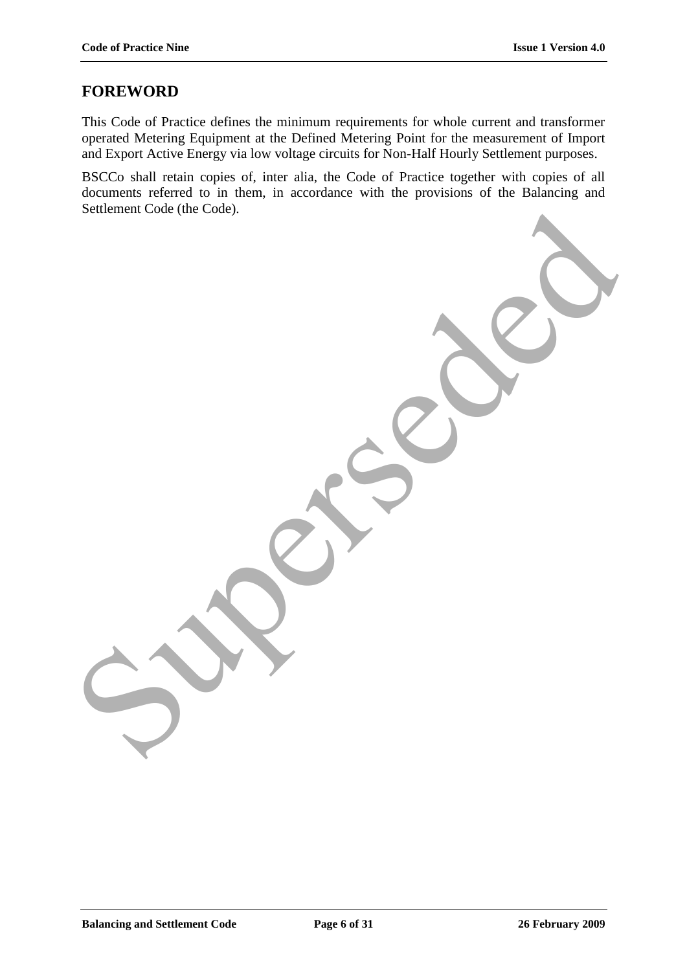## **FOREWORD**

This Code of Practice defines the minimum requirements for whole current and transformer operated Metering Equipment at the Defined Metering Point for the measurement of Import and Export Active Energy via low voltage circuits for Non-Half Hourly Settlement purposes.

BSCCo shall retain copies of, inter alia, the Code of Practice together with copies of all documents referred to in them, in accordance with the provisions of the Balancing and Settlement Code (the Code). Superintendence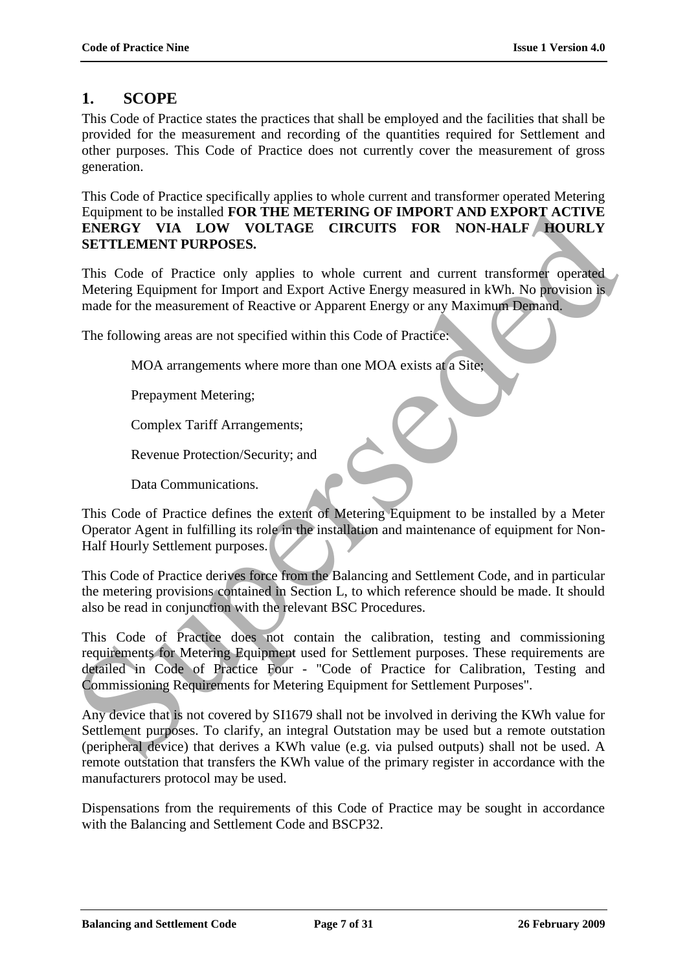# **1. SCOPE**

This Code of Practice states the practices that shall be employed and the facilities that shall be provided for the measurement and recording of the quantities required for Settlement and other purposes. This Code of Practice does not currently cover the measurement of gross generation.

This Code of Practice specifically applies to whole current and transformer operated Metering Equipment to be installed **FOR THE METERING OF IMPORT AND EXPORT ACTIVE ENERGY VIA LOW VOLTAGE CIRCUITS FOR NON-HALF HOURLY SETTLEMENT PURPOSES.**

This Code of Practice only applies to whole current and current transformer operated Metering Equipment for Import and Export Active Energy measured in kWh. No provision is made for the measurement of Reactive or Apparent Energy or any Maximum Demand.

The following areas are not specified within this Code of Practice:

MOA arrangements where more than one MOA exists at a Site;

Prepayment Metering;

Complex Tariff Arrangements;

Revenue Protection/Security; and

Data Communications.

This Code of Practice defines the extent of Metering Equipment to be installed by a Meter Operator Agent in fulfilling its role in the installation and maintenance of equipment for Non-Half Hourly Settlement purposes.

This Code of Practice derives force from the Balancing and Settlement Code, and in particular the metering provisions contained in Section L, to which reference should be made. It should also be read in conjunction with the relevant BSC Procedures.

This Code of Practice does not contain the calibration, testing and commissioning requirements for Metering Equipment used for Settlement purposes. These requirements are detailed in Code of Practice Four - "Code of Practice for Calibration, Testing and Commissioning Requirements for Metering Equipment for Settlement Purposes". Equipment to be installed FOR THE METERING OF IMPORT AND EXPORT ACTIVE EXPACT ACTIVE SETTLEMENT PURPOSES.<br>
TENERGY VIA LOW VOLTAGE CIRCUITS FOR NON-HALF ROUNLY<br>
SETTLEMENT PURPOSES.<br>
This Code of Practice only applies to w

Any device that is not covered by SI1679 shall not be involved in deriving the KWh value for Settlement purposes. To clarify, an integral Outstation may be used but a remote outstation (peripheral device) that derives a KWh value (e.g. via pulsed outputs) shall not be used. A remote outstation that transfers the KWh value of the primary register in accordance with the manufacturers protocol may be used.

Dispensations from the requirements of this Code of Practice may be sought in accordance with the Balancing and Settlement Code and BSCP32.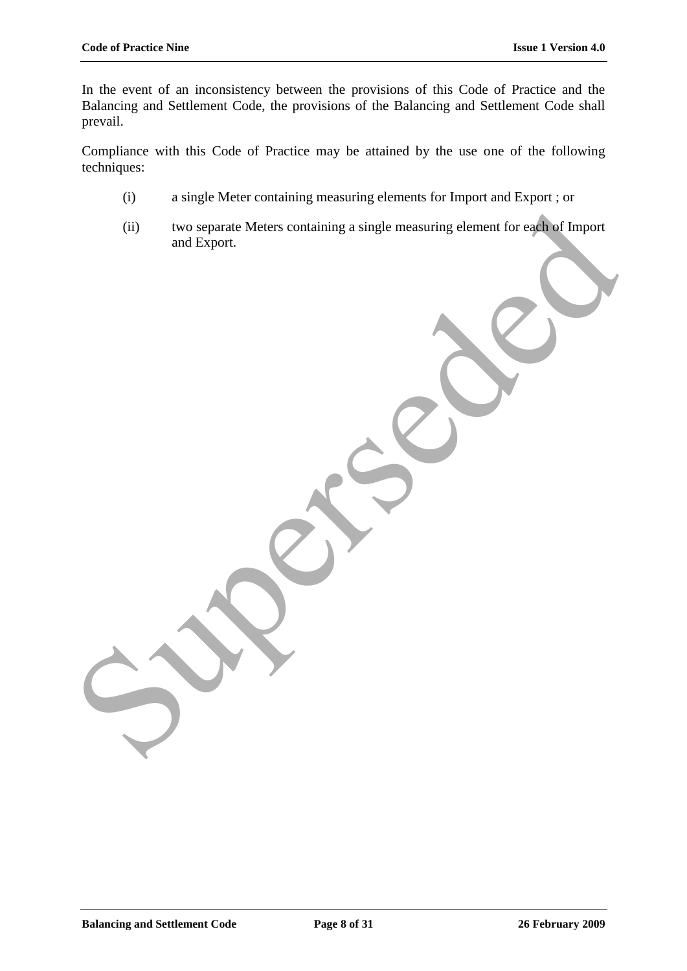In the event of an inconsistency between the provisions of this Code of Practice and the Balancing and Settlement Code, the provisions of the Balancing and Settlement Code shall prevail.

Compliance with this Code of Practice may be attained by the use one of the following techniques:

- (i) a single Meter containing measuring elements for Import and Export ; or
- (ii) two separate Meters containing a single measuring element for each of Import and Export. (i) two separate Meters containing a single measuring element for each of Import<br>and Export.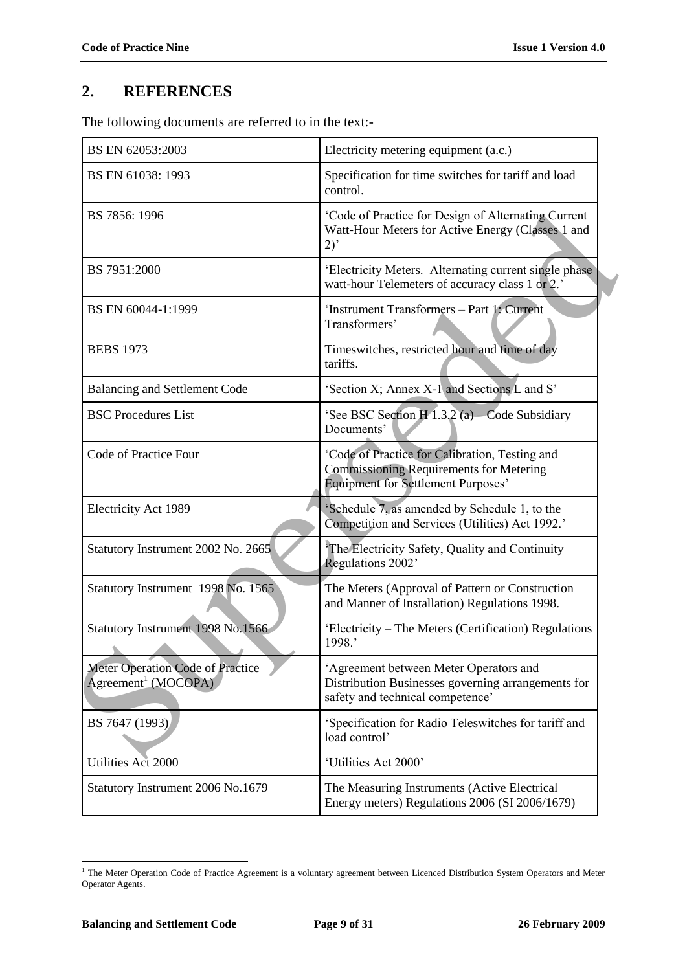# **2. REFERENCES**

The following documents are referred to in the text:-

| BS EN 62053:2003                                                    | Electricity metering equipment (a.c.)                                                                                                         |
|---------------------------------------------------------------------|-----------------------------------------------------------------------------------------------------------------------------------------------|
| BS EN 61038: 1993                                                   | Specification for time switches for tariff and load<br>control.                                                                               |
| BS 7856: 1996                                                       | 'Code of Practice for Design of Alternating Current<br>Watt-Hour Meters for Active Energy (Classes 1 and<br>2)                                |
| BS 7951:2000                                                        | 'Electricity Meters. Alternating current single phase<br>watt-hour Telemeters of accuracy class 1 or 2.'                                      |
| BS EN 60044-1:1999                                                  | 'Instrument Transformers - Part 1: Current<br>Transformers'                                                                                   |
| <b>BEBS 1973</b>                                                    | Timeswitches, restricted hour and time of day<br>tariffs.                                                                                     |
| <b>Balancing and Settlement Code</b>                                | 'Section X; Annex X-1 and Sections L and S'                                                                                                   |
| <b>BSC Procedures List</b>                                          | 'See BSC Section H 1.3.2 (a) - Code Subsidiary<br>Documents'                                                                                  |
| Code of Practice Four                                               | 'Code of Practice for Calibration, Testing and<br><b>Commissioning Requirements for Metering</b><br><b>Equipment for Settlement Purposes'</b> |
| Electricity Act 1989                                                | 'Schedule 7, as amended by Schedule 1, to the<br>Competition and Services (Utilities) Act 1992.'                                              |
| Statutory Instrument 2002 No. 2665                                  | The Electricity Safety, Quality and Continuity<br>Regulations 2002'                                                                           |
| Statutory Instrument 1998 No. 1565                                  | The Meters (Approval of Pattern or Construction<br>and Manner of Installation) Regulations 1998.                                              |
| Statutory Instrument 1998 No.1566                                   | 'Electricity – The Meters (Certification) Regulations<br>1998.'                                                                               |
| Meter Operation Code of Practice<br>Agreement <sup>1</sup> (MOCOPA) | 'Agreement between Meter Operators and<br>Distribution Businesses governing arrangements for<br>safety and technical competence'              |
| BS 7647 (1993)                                                      | 'Specification for Radio Teleswitches for tariff and<br>load control'                                                                         |
| Utilities Act 2000                                                  | 'Utilities Act 2000'                                                                                                                          |
| Statutory Instrument 2006 No.1679                                   | The Measuring Instruments (Active Electrical<br>Energy meters) Regulations 2006 (SI 2006/1679)                                                |

<sup>&</sup>lt;sup>1</sup> The Meter Operation Code of Practice Agreement is a voluntary agreement between Licenced Distribution System Operators and Meter Operator Agents.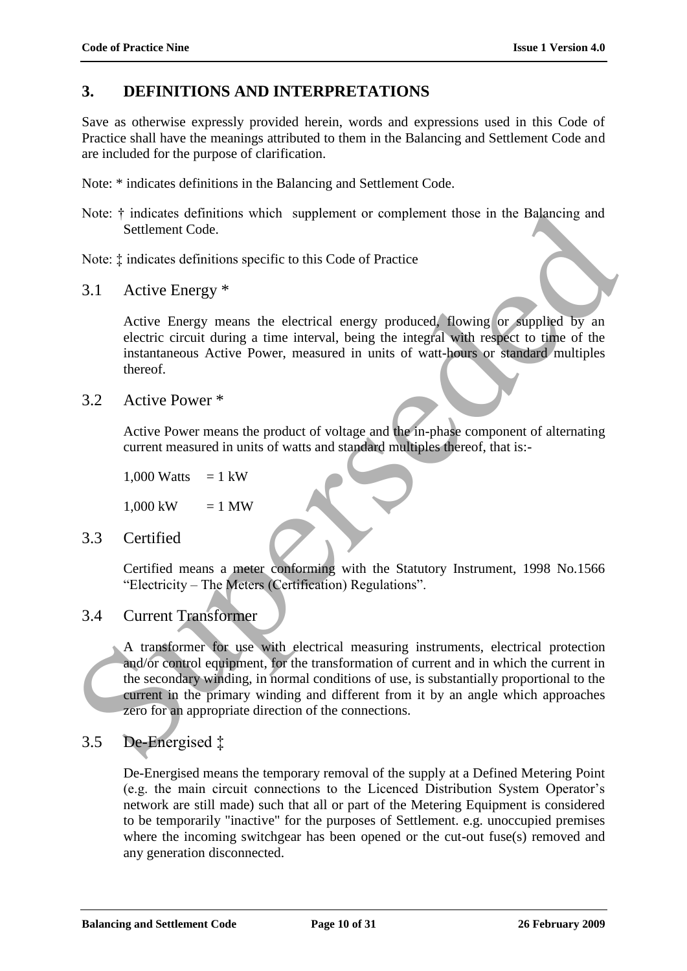# **3. DEFINITIONS AND INTERPRETATIONS**

Save as otherwise expressly provided herein, words and expressions used in this Code of Practice shall have the meanings attributed to them in the Balancing and Settlement Code and are included for the purpose of clarification.

Note: \* indicates definitions in the Balancing and Settlement Code.

Note:  $\dagger$  indicates definitions which supplement or complement those in the Balancing and Settlement Code.

Note: ‡ indicates definitions specific to this Code of Practice

3.1 Active Energy \*

Active Energy means the electrical energy produced, flowing or supplied by an electric circuit during a time interval, being the integral with respect to time of the instantaneous Active Power, measured in units of watt-hours or standard multiples thereof.

3.2 Active Power \*

Active Power means the product of voltage and the in-phase component of alternating current measured in units of watts and standard multiples thereof, that is:-

1,000 Watts  $= 1$  kW

 $1,000 \text{ kW} = 1 \text{ MW}$ 

3.3 Certified

Certified means a meter conforming with the Statutory Instrument, 1998 No.1566 "Electricity – The Meters (Certification) Regulations".

## 3.4 Current Transformer

A transformer for use with electrical measuring instruments, electrical protection and/or control equipment, for the transformation of current and in which the current in the secondary winding, in normal conditions of use, is substantially proportional to the current in the primary winding and different from it by an angle which approaches zero for an appropriate direction of the connections. Note: † indicates definitions which supplement or complement those in the Balancing and<br>
Superior Code:<br>  $\frac{1}{2}$  indicates definitions specific to this Code of Practice<br>
Note: ‡ indicates definitions specific to this Co

# 3.5 De-Energised ‡

De-Energised means the temporary removal of the supply at a Defined Metering Point (e.g. the main circuit connections to the Licenced Distribution System Operator"s network are still made) such that all or part of the Metering Equipment is considered to be temporarily "inactive" for the purposes of Settlement. e.g. unoccupied premises where the incoming switchgear has been opened or the cut-out fuse(s) removed and any generation disconnected.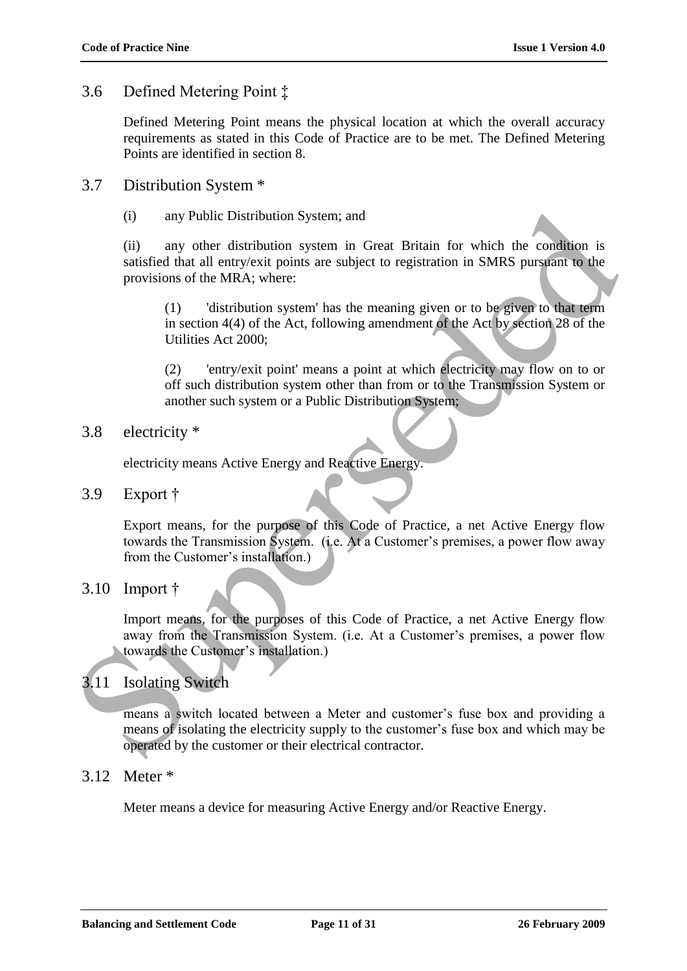## 3.6 Defined Metering Point ‡

Defined Metering Point means the physical location at which the overall accuracy requirements as stated in this Code of Practice are to be met. The Defined Metering Points are identified in section 8.

## 3.7 Distribution System \*

(i) any Public Distribution System; and

(ii) any other distribution system in Great Britain for which the condition is satisfied that all entry/exit points are subject to registration in SMRS pursuant to the provisions of the MRA; where:

(1) 'distribution system' has the meaning given or to be given to that term in section 4(4) of the Act, following amendment of the Act by section 28 of the Utilities Act 2000;

(2) 'entry/exit point' means a point at which electricity may flow on to or off such distribution system other than from or to the Transmission System or another such system or a Public Distribution System;

## 3.8 electricity \*

electricity means Active Energy and Reactive Energy.

3.9 Export †

Export means, for the purpose of this Code of Practice, a net Active Energy flow towards the Transmission System. (i.e. At a Customer's premises, a power flow away from the Customer's installation.)

## 3.10 Import †

Import means, for the purposes of this Code of Practice, a net Active Energy flow away from the Transmission System. (i.e. At a Customer's premises, a power flow towards the Customer's installation.)

# 3.11 Isolating Switch

means a switch located between a Meter and customer"s fuse box and providing a means of isolating the electricity supply to the customer"s fuse box and which may be operated by the customer or their electrical contractor. (i) any Public Distribution System; and<br>
(ii) any other distribution system in Great Britain for which the condition is<br>
sutsified that all netry exits are subject to registration in SMRS pursuant to the<br>
provisions of th

## 3.12 Meter \*

Meter means a device for measuring Active Energy and/or Reactive Energy.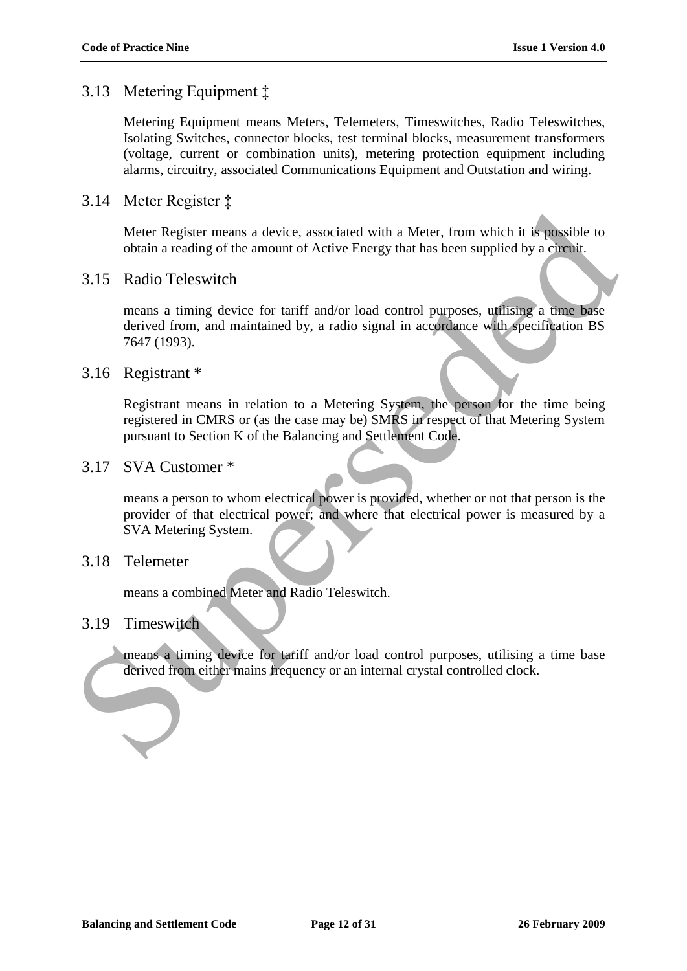## 3.13 Metering Equipment ‡

Metering Equipment means Meters, Telemeters, Timeswitches, Radio Teleswitches, Isolating Switches, connector blocks, test terminal blocks, measurement transformers (voltage, current or combination units), metering protection equipment including alarms, circuitry, associated Communications Equipment and Outstation and wiring.

## 3.14 Meter Register ‡

Meter Register means a device, associated with a Meter, from which it is possible to obtain a reading of the amount of Active Energy that has been supplied by a circuit.

### 3.15 Radio Teleswitch

means a timing device for tariff and/or load control purposes, utilising a time base derived from, and maintained by, a radio signal in accordance with specification BS 7647 (1993).

### 3.16 Registrant \*

Registrant means in relation to a Metering System, the person for the time being registered in CMRS or (as the case may be) SMRS in respect of that Metering System pursuant to Section K of the Balancing and Settlement Code.

### 3.17 SVA Customer \*

means a person to whom electrical power is provided, whether or not that person is the provider of that electrical power; and where that electrical power is measured by a SVA Metering System. Meter Register means a device, associated with a Meter, from which it is possible to<br>obtain a reading of the amount of Active Energy that has been supplied by a circuit.<br>3.15 Radio Teleswitch<br>means a timing device for tari

## 3.18 Telemeter

means a combined Meter and Radio Teleswitch.

#### 3.19 Timeswitch

means a timing device for tariff and/or load control purposes, utilising a time base derived from either mains frequency or an internal crystal controlled clock.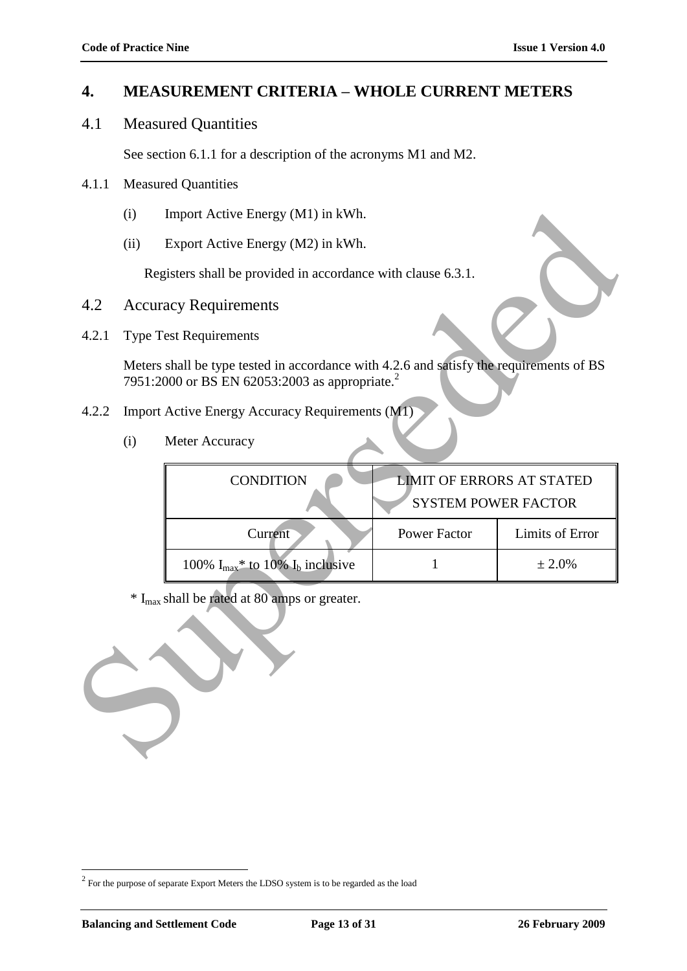## **4. MEASUREMENT CRITERIA – WHOLE CURRENT METERS**

4.1 Measured Quantities

See section 6.1.1 for a description of the acronyms M1 and M2.

- 4.1.1 Measured Quantities
	- (i) Import Active Energy (M1) in kWh.
	- (ii) Export Active Energy (M2) in kWh.

- 4.2 Accuracy Requirements
- 4.2.1 Type Test Requirements

- 4.2.2 Import Active Energy Accuracy Requirements (M1)
	- (i) Meter Accuracy

|                                                          | (i)  | Import Active Energy (M1) in kWh.                                                                                                                     |                                  |                 |
|----------------------------------------------------------|------|-------------------------------------------------------------------------------------------------------------------------------------------------------|----------------------------------|-----------------|
|                                                          | (ii) | Export Active Energy (M2) in kWh.                                                                                                                     |                                  |                 |
|                                                          |      | Registers shall be provided in accordance with clause 6.3.1.                                                                                          |                                  |                 |
| 4.2                                                      |      | <b>Accuracy Requirements</b>                                                                                                                          |                                  |                 |
| 4.2.1                                                    |      | <b>Type Test Requirements</b>                                                                                                                         |                                  |                 |
|                                                          |      | Meters shall be type tested in accordance with 4.2.6 and satisfy the requirements of BS<br>7951:2000 or BS EN 62053:2003 as appropriate. <sup>2</sup> |                                  |                 |
| 4.2.2                                                    |      | Import Active Energy Accuracy Requirements (M1)                                                                                                       |                                  |                 |
|                                                          | (i)  | Meter Accuracy                                                                                                                                        |                                  |                 |
|                                                          |      | <b>CONDITION</b>                                                                                                                                      | <b>LIMIT OF ERRORS AT STATED</b> |                 |
|                                                          |      |                                                                                                                                                       | <b>SYSTEM POWER FACTOR</b>       |                 |
|                                                          |      | Current                                                                                                                                               | <b>Power Factor</b>              | Limits of Error |
|                                                          |      | 100% $I_{max}$ * to 10% $I_b$ inclusive                                                                                                               | 1                                | ± 2.0%          |
| * I <sub>max</sub> shall be rated at 80 amps or greater. |      |                                                                                                                                                       |                                  |                 |



 $2^{2}$  For the purpose of separate Export Meters the LDSO system is to be regarded as the load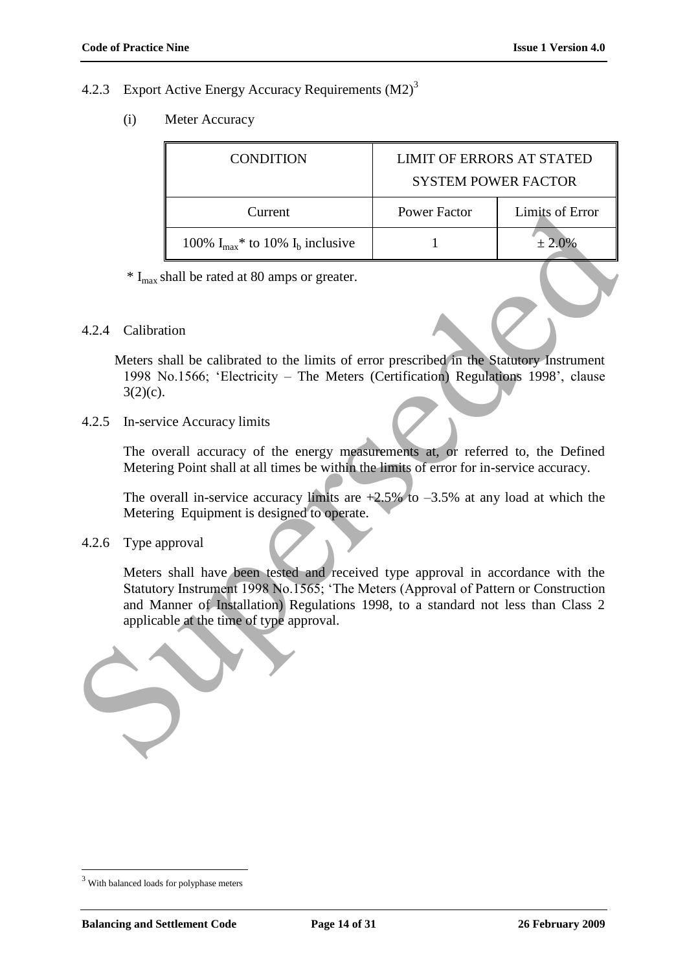### 4.2.3 Export Active Energy Accuracy Requirements (M2)<sup>3</sup>

(i) Meter Accuracy

| <b>CONDITION</b>                                   | <b>LIMIT OF ERRORS AT STATED</b><br><b>SYSTEM POWER FACTOR</b> |                 |  |
|----------------------------------------------------|----------------------------------------------------------------|-----------------|--|
| Current                                            | Power Factor                                                   | Limits of Error |  |
| 100% $I_{max}$ <sup>*</sup> to 10% $I_b$ inclusive |                                                                | $± 2.0\%$       |  |

 $*$  I<sub>max</sub> shall be rated at 80 amps or greater.

#### 4.2.4 Calibration

Meters shall be calibrated to the limits of error prescribed in the Statutory Instrument 1998 No.1566; "Electricity – The Meters (Certification) Regulations 1998", clause  $3(2)(c)$ .

#### 4.2.5 In-service Accuracy limits

The overall accuracy of the energy measurements at, or referred to, the Defined Metering Point shall at all times be within the limits of error for in-service accuracy.

The overall in-service accuracy limits are  $+2.5\%$  to  $-3.5\%$  at any load at which the Metering Equipment is designed to operate.

#### 4.2.6 Type approval

Meters shall have been tested and received type approval in accordance with the Statutory Instrument 1998 No.1565; "The Meters (Approval of Pattern or Construction and Manner of Installation) Regulations 1998, to a standard not less than Class 2 applicable at the time of type approval. Current Power Factor Limits of Error<br>
100%  $I_{\text{max}}$  to 10%  $I_{\text{S}}$  inclusive<br>
<sup>2</sup>  $I_{\text{max}}$  shall be rated at 80 amps or greater.<br>
4.2.4 Calibration<br>
Meters shall be calibrated to the limits of error prescribed in the



<sup>3</sup> With balanced loads for polyphase meters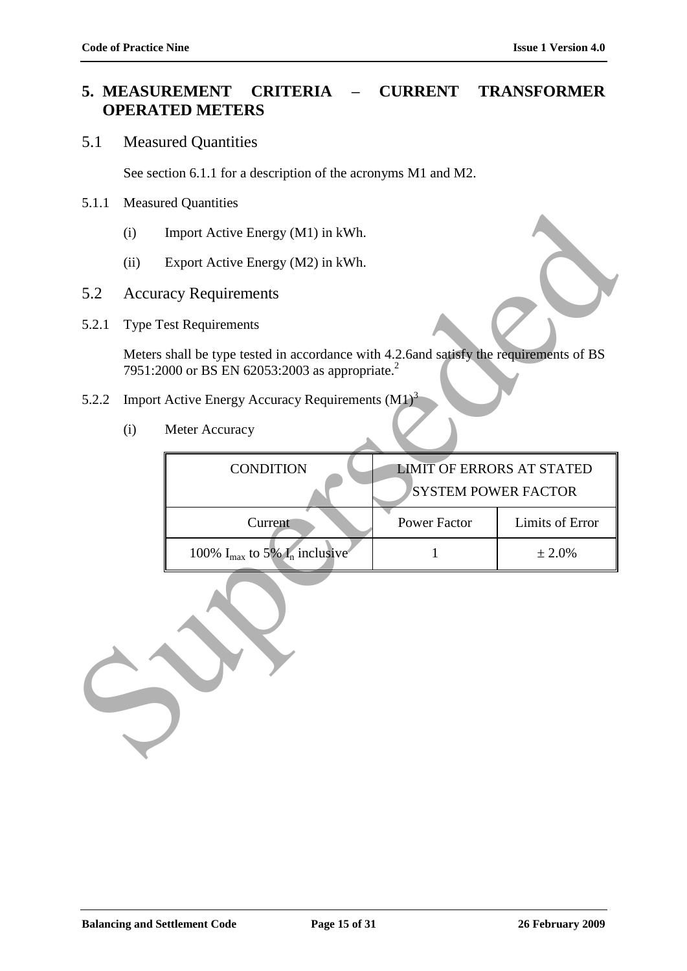## **5. MEASUREMENT CRITERIA – CURRENT TRANSFORMER OPERATED METERS**

## 5.1 Measured Quantities

See section 6.1.1 for a description of the acronyms M1 and M2.

#### 5.1.1 Measured Quantities

- (i) Import Active Energy (M1) in kWh.
- (ii) Export Active Energy (M2) in kWh.
- 5.2 Accuracy Requirements
- 5.2.1 Type Test Requirements

- 5.2.2 Import Active Energy Accuracy Requirements (M1)<sup>3</sup>
	- (i) Meter Accuracy

|       | $\cdots$ |                                                                                                                                                      |                                  |                 |  |
|-------|----------|------------------------------------------------------------------------------------------------------------------------------------------------------|----------------------------------|-----------------|--|
|       | (i)      | Import Active Energy (M1) in kWh.                                                                                                                    |                                  |                 |  |
|       | (ii)     | Export Active Energy (M2) in kWh.                                                                                                                    |                                  |                 |  |
| 5.2   |          | <b>Accuracy Requirements</b>                                                                                                                         |                                  |                 |  |
| 5.2.1 |          | <b>Type Test Requirements</b>                                                                                                                        |                                  |                 |  |
|       |          | Meters shall be type tested in accordance with 4.2.6and satisfy the requirements of BS<br>7951:2000 or BS EN 62053:2003 as appropriate. <sup>2</sup> |                                  |                 |  |
| 5.2.2 |          | Import Active Energy Accuracy Requirements $(M1)3$                                                                                                   |                                  |                 |  |
|       | (i)      | Meter Accuracy                                                                                                                                       |                                  |                 |  |
|       |          | <b>CONDITION</b>                                                                                                                                     | <b>LIMIT OF ERRORS AT STATED</b> |                 |  |
|       |          |                                                                                                                                                      | <b>SYSTEM POWER FACTOR</b>       |                 |  |
|       |          | Current                                                                                                                                              | <b>Power Factor</b>              | Limits of Error |  |
|       |          | 100% $I_{\text{max}}$ to 5% $I_n$ inclusive                                                                                                          | 1                                | ± 2.0%          |  |
|       |          |                                                                                                                                                      |                                  |                 |  |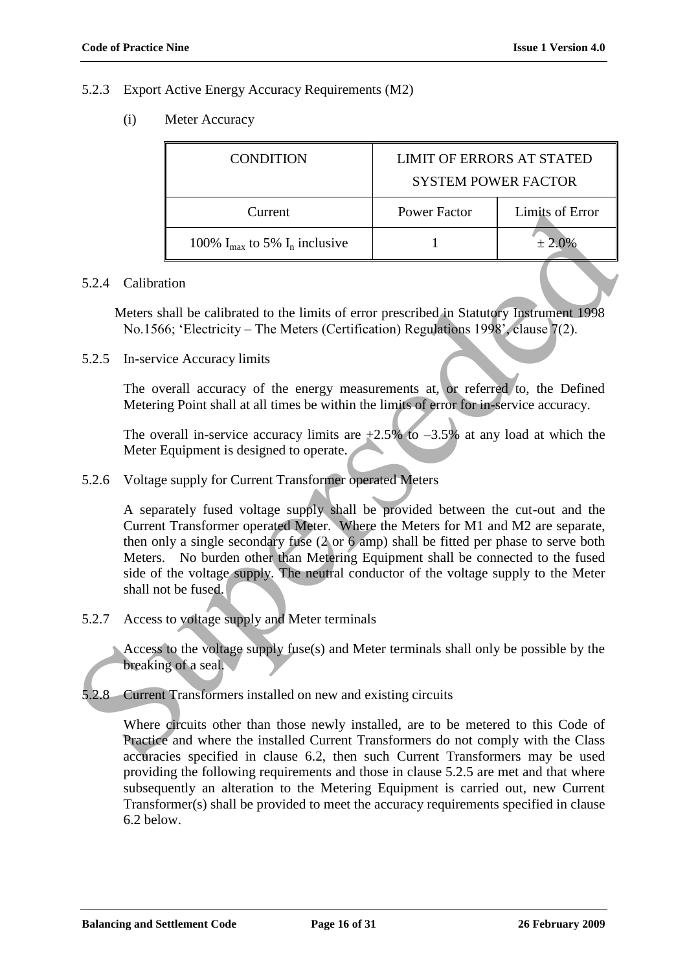#### 5.2.3 Export Active Energy Accuracy Requirements (M2)

(i) Meter Accuracy

| <b>CONDITION</b>                                     | <b>LIMIT OF ERRORS AT STATED</b><br><b>SYSTEM POWER FACTOR</b> |                 |  |
|------------------------------------------------------|----------------------------------------------------------------|-----------------|--|
| Current                                              | Power Factor                                                   | Limits of Error |  |
| 100% $I_{\text{max}}$ to 5% $I_{\text{n}}$ inclusive |                                                                | $± 2.0\%$       |  |

#### 5.2.4 Calibration

Meters shall be calibrated to the limits of error prescribed in Statutory Instrument 1998 No.1566; "Electricity – The Meters (Certification) Regulations 1998", clause 7(2).

5.2.5 In-service Accuracy limits

The overall accuracy of the energy measurements at, or referred to, the Defined Metering Point shall at all times be within the limits of error for in-service accuracy.

The overall in-service accuracy limits are  $+2.5\%$  to  $-3.5\%$  at any load at which the Meter Equipment is designed to operate.

5.2.6 Voltage supply for Current Transformer operated Meters

A separately fused voltage supply shall be provided between the cut-out and the Current Transformer operated Meter. Where the Meters for M1 and M2 are separate, then only a single secondary fuse (2 or 6 amp) shall be fitted per phase to serve both Meters. No burden other than Metering Equipment shall be connected to the fused side of the voltage supply. The neutral conductor of the voltage supply to the Meter shall not be fused. **Example 18** 100% L<sub>ana</sub> to 5% L<sub>a</sub> inclusive<br>
100% L<sub>ana</sub> to 5% L<sub>a</sub> inclusive<br>
11 100% Languard 100% Languard 10 the Himis of error prescribed in Statutogry Instrument 1998<br>
No 1566; "Fleetricity – The Meters (Certifica

5.2.7 Access to voltage supply and Meter terminals

Access to the voltage supply fuse(s) and Meter terminals shall only be possible by the breaking of a seal.

5.2.8 Current Transformers installed on new and existing circuits

Where circuits other than those newly installed, are to be metered to this Code of Practice and where the installed Current Transformers do not comply with the Class accuracies specified in clause 6.2, then such Current Transformers may be used providing the following requirements and those in clause 5.2.5 are met and that where subsequently an alteration to the Metering Equipment is carried out, new Current Transformer(s) shall be provided to meet the accuracy requirements specified in clause 6.2 below.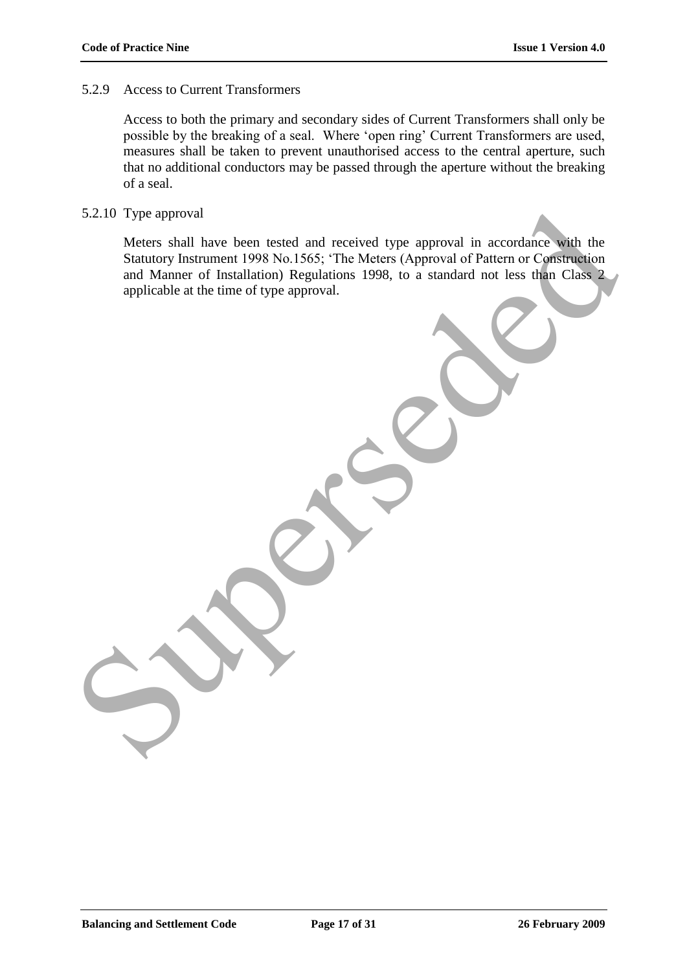### 5.2.9 Access to Current Transformers

Access to both the primary and secondary sides of Current Transformers shall only be possible by the breaking of a seal. Where "open ring" Current Transformers are used, measures shall be taken to prevent unauthorised access to the central aperture, such that no additional conductors may be passed through the aperture without the breaking of a seal.

#### 5.2.10 Type approval

Meters shall have been tested and received type approval in accordance with the Statutory Instrument 1998 No.1565; "The Meters (Approval of Pattern or Construction and Manner of Installation) Regulations 1998, to a standard not less than Class 2 applicable at the time of type approval. 5.2.10 Type approval<br>Meters shall have been tested and received type approval in accordance with the<br>Statusry Instrument 1998 No.1565; "The Meters (Approval of Pattern or Construction<br>and Manner of Installation) Regulation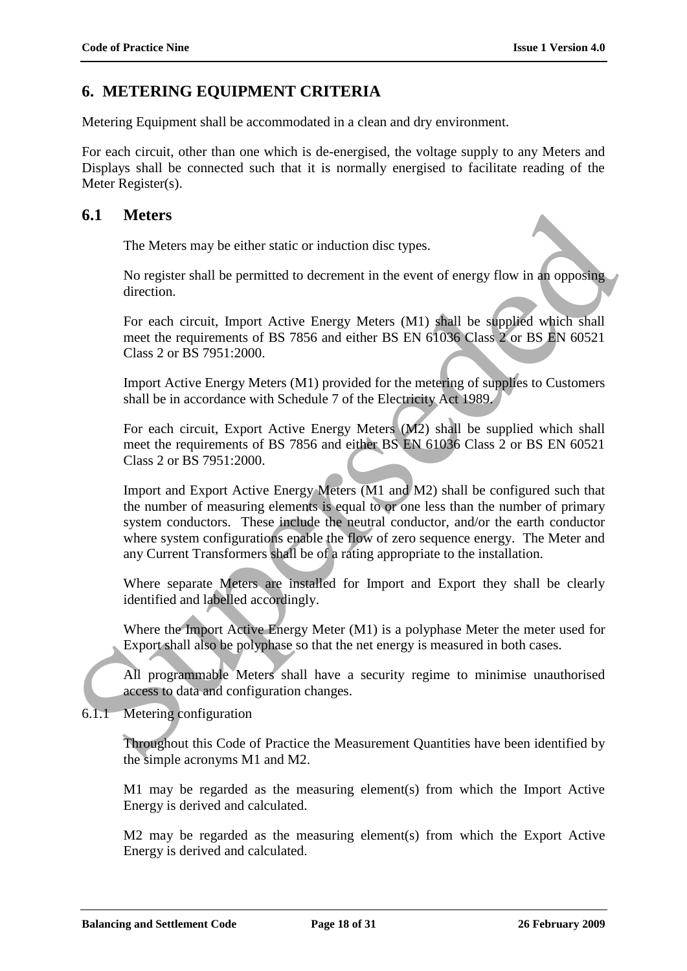## **6. METERING EQUIPMENT CRITERIA**

Metering Equipment shall be accommodated in a clean and dry environment.

For each circuit, other than one which is de-energised, the voltage supply to any Meters and Displays shall be connected such that it is normally energised to facilitate reading of the Meter Register(s).

### **6.1 Meters**

The Meters may be either static or induction disc types.

No register shall be permitted to decrement in the event of energy flow in an opposing direction.

For each circuit, Import Active Energy Meters (M1) shall be supplied which shall meet the requirements of BS 7856 and either BS EN 61036 Class 2 or BS EN 60521 Class 2 or BS 7951:2000.

Import Active Energy Meters (M1) provided for the metering of supplies to Customers shall be in accordance with Schedule 7 of the Electricity Act 1989.

For each circuit, Export Active Energy Meters (M2) shall be supplied which shall meet the requirements of BS 7856 and either BS EN 61036 Class 2 or BS EN 60521 Class 2 or BS 7951:2000.

Import and Export Active Energy Meters (M1 and M2) shall be configured such that the number of measuring elements is equal to or one less than the number of primary system conductors. These include the neutral conductor, and/or the earth conductor where system configurations enable the flow of zero sequence energy. The Meter and any Current Transformers shall be of a rating appropriate to the installation. 6.1 Meters<br>
The Meters may be either static or induction disc types.<br>
No register shall be permitted to decrement in the event of energy flow in an opposing<br>
direction.<br>
For each circuit, Import Active Energy Meters (M1)

Where separate Meters are installed for Import and Export they shall be clearly identified and labelled accordingly.

Where the Import Active Energy Meter (M1) is a polyphase Meter the meter used for Export shall also be polyphase so that the net energy is measured in both cases.

All programmable Meters shall have a security regime to minimise unauthorised access to data and configuration changes.

6.1.1 Metering configuration

Throughout this Code of Practice the Measurement Quantities have been identified by the simple acronyms M1 and M2.

M1 may be regarded as the measuring element(s) from which the Import Active Energy is derived and calculated.

M2 may be regarded as the measuring element(s) from which the Export Active Energy is derived and calculated.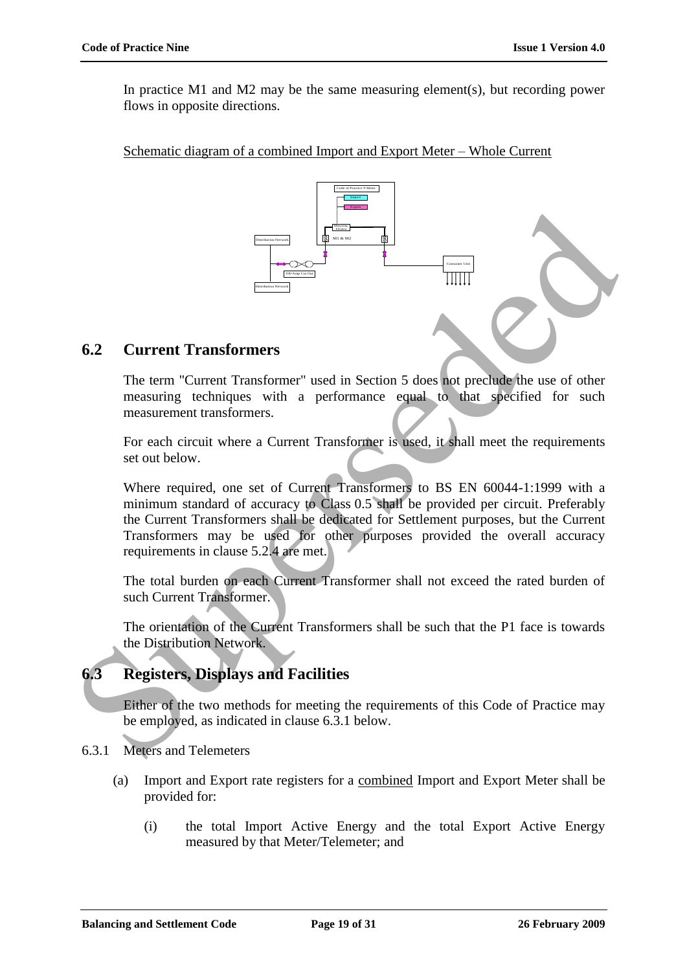In practice M1 and M2 may be the same measuring element(s), but recording power flows in opposite directions.

Schematic diagram of a combined Import and Export Meter – Whole Current



## **6.2 Current Transformers**

The term "Current Transformer" used in Section 5 does not preclude the use of other measuring techniques with a performance equal to that specified for such measurement transformers.

For each circuit where a Current Transformer is used, it shall meet the requirements set out below.

Where required, one set of Current Transformers to BS EN 60044-1:1999 with a minimum standard of accuracy to Class 0.5 shall be provided per circuit. Preferably the Current Transformers shall be dedicated for Settlement purposes, but the Current Transformers may be used for other purposes provided the overall accuracy requirements in clause 5.2.4 are met.

The total burden on each Current Transformer shall not exceed the rated burden of such Current Transformer.

The orientation of the Current Transformers shall be such that the P1 face is towards the Distribution Network.

# **6.3 Registers, Displays and Facilities**

Either of the two methods for meeting the requirements of this Code of Practice may be employed, as indicated in clause 6.3.1 below.

- 6.3.1 Meters and Telemeters
	- (a) Import and Export rate registers for a combined Import and Export Meter shall be provided for:
		- (i) the total Import Active Energy and the total Export Active Energy measured by that Meter/Telemeter; and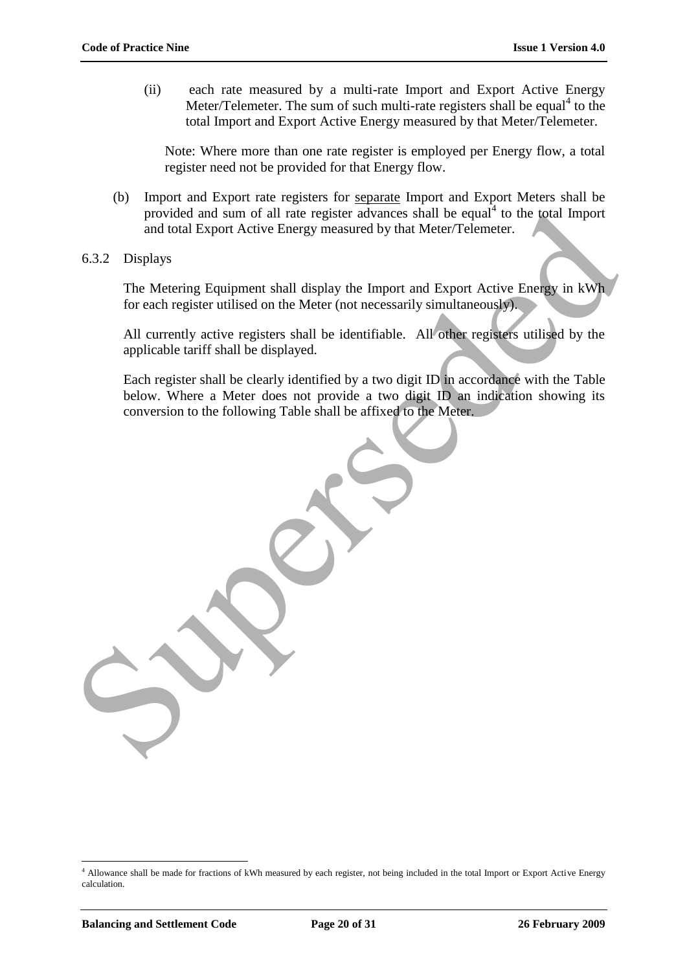(ii) each rate measured by a multi-rate Import and Export Active Energy Meter/Telemeter. The sum of such multi-rate registers shall be equal<sup>4</sup> to the total Import and Export Active Energy measured by that Meter/Telemeter.

Note: Where more than one rate register is employed per Energy flow, a total register need not be provided for that Energy flow.

- (b) Import and Export rate registers for separate Import and Export Meters shall be provided and sum of all rate register advances shall be equal<sup>4</sup> to the total Import and total Export Active Energy measured by that Meter/Telemeter.
- 6.3.2 Displays

The Metering Equipment shall display the Import and Export Active Energy in kWh for each register utilised on the Meter (not necessarily simultaneously).

All currently active registers shall be identifiable. All other registers utilised by the applicable tariff shall be displayed.

Each register shall be clearly identified by a two digit ID in accordance with the Table below. Where a Meter does not provide a two digit ID an indication showing its conversion to the following Table shall be affixed to the Meter. provided and sum of all rate register advances shall be equal<sup>1</sup> to the total Import<br>and total Export Active Energy measured by that Meter/Telemeter.<br>6.3.2 Displays<br>The Metering Equipment shall display the Import and Expor

<sup>4</sup> Allowance shall be made for fractions of kWh measured by each register, not being included in the total Import or Export Active Energy calculation.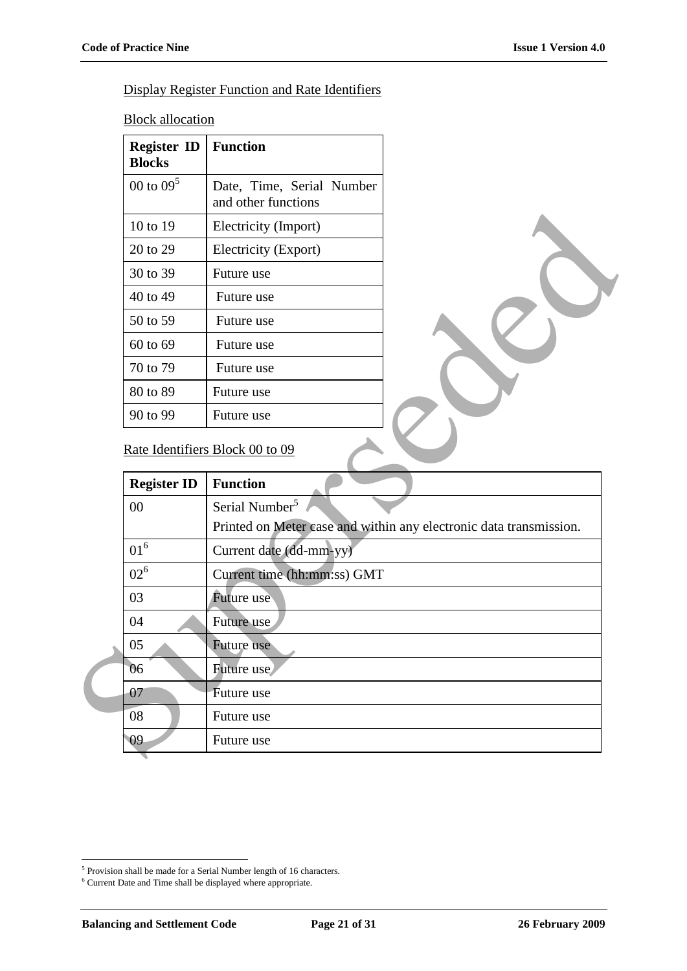## Display Register Function and Rate Identifiers

**Block allocation** 

| <b>Register ID</b><br><b>Blocks</b> | <b>Function</b>                                  |
|-------------------------------------|--------------------------------------------------|
| 00 to $09^5$                        | Date, Time, Serial Number<br>and other functions |
| 10 to 19                            | Electricity (Import)                             |
| 20 to 29                            | Electricity (Export)                             |
| 30 to 39                            | Future use                                       |
| 40 to 49                            | Future use                                       |
| 50 to 59                            | Future use                                       |
| 60 to 69                            | Future use                                       |
| 70 to 79                            | Future use                                       |
| 80 to 89                            | Future use                                       |
| 90 to 99                            | Future use                                       |

## Rate Identifiers Block 00 to 09

| 10 to 19           | Electricity (Import)                                               |
|--------------------|--------------------------------------------------------------------|
| 20 to 29           | Electricity (Export)                                               |
| 30 to 39           | Future use                                                         |
| 40 to 49           | Future use                                                         |
| 50 to 59           | Future use                                                         |
| 60 to 69           | Future use                                                         |
| 70 to 79           | Future use                                                         |
| 80 to 89           | Future use                                                         |
| 90 to 99           | Future use                                                         |
| <b>Register ID</b> | <b>Function</b>                                                    |
|                    |                                                                    |
| 00                 | Serial Number <sup>5</sup>                                         |
|                    | Printed on Meter case and within any electronic data transmission. |
| $01^6$             | Current date (dd-mm-yy)                                            |
| $02^6$             | Current time (hh:mm:ss) GMT                                        |
| 03                 | <b>Future</b> use                                                  |
| 04                 | Future use                                                         |
| 05                 | Future use                                                         |
| 06                 | Future use                                                         |
| 07                 | Future use                                                         |
| 08                 | Future use                                                         |
| 09                 | Future use                                                         |
|                    |                                                                    |

<sup>&</sup>lt;sup>5</sup> Provision shall be made for a Serial Number length of 16 characters.

 $^{\rm 6}$  Current Date and Time shall be displayed where appropriate.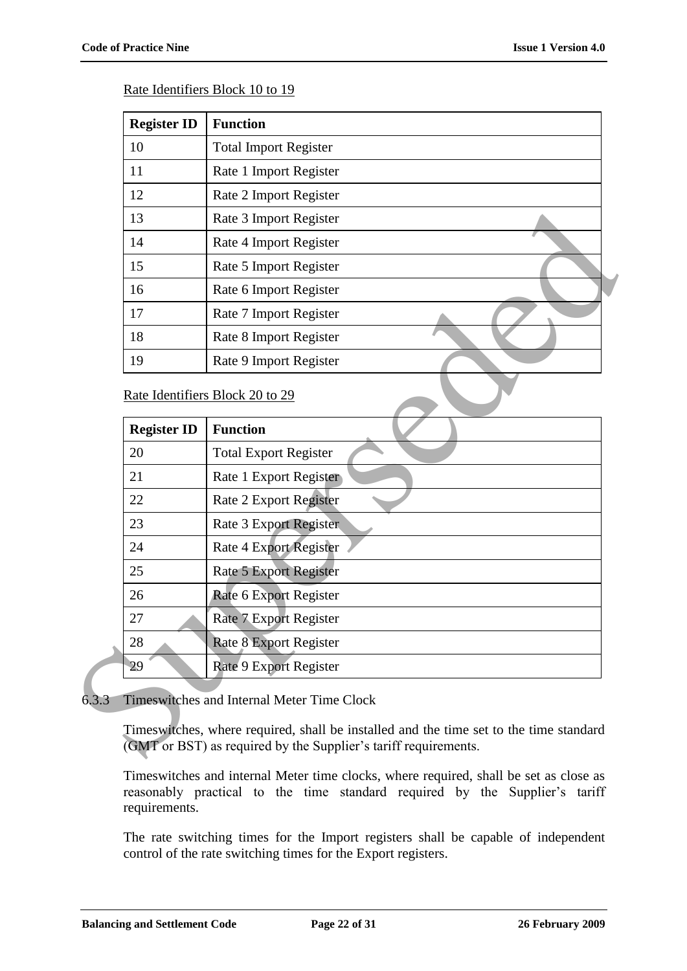#### Rate Identifiers Block 10 to 19

| <b>Register ID</b> | <b>Function</b>              |
|--------------------|------------------------------|
| 10                 | <b>Total Import Register</b> |
| 11                 | Rate 1 Import Register       |
| 12                 | Rate 2 Import Register       |
| 13                 | Rate 3 Import Register       |
| 14                 | Rate 4 Import Register       |
| 15                 | Rate 5 Import Register       |
| 16                 | Rate 6 Import Register       |
| 17                 | Rate 7 Import Register       |
| 18                 | Rate 8 Import Register       |
| 19                 | Rate 9 Import Register       |

#### Rate Identifiers Block 20 to 29

|       | 13                                                | Rate 3 Import Register                                                                                                                                    |  |  |  |
|-------|---------------------------------------------------|-----------------------------------------------------------------------------------------------------------------------------------------------------------|--|--|--|
|       | 14                                                | Rate 4 Import Register                                                                                                                                    |  |  |  |
|       | 15                                                | Rate 5 Import Register                                                                                                                                    |  |  |  |
|       | 16                                                | Rate 6 Import Register                                                                                                                                    |  |  |  |
|       | 17                                                | Rate 7 Import Register                                                                                                                                    |  |  |  |
|       | 18                                                | Rate 8 Import Register                                                                                                                                    |  |  |  |
|       | 19                                                | Rate 9 Import Register                                                                                                                                    |  |  |  |
|       |                                                   | Rate Identifiers Block 20 to 29                                                                                                                           |  |  |  |
|       | <b>Register ID</b>                                | <b>Function</b>                                                                                                                                           |  |  |  |
|       | 20                                                | <b>Total Export Register</b>                                                                                                                              |  |  |  |
|       | 21                                                | Rate 1 Export Register                                                                                                                                    |  |  |  |
|       | 22                                                | Rate 2 Export Register                                                                                                                                    |  |  |  |
|       | 23                                                | <b>Rate 3 Export Register</b>                                                                                                                             |  |  |  |
|       | 24                                                | Rate 4 Export Register                                                                                                                                    |  |  |  |
|       | 25                                                | <b>Rate 5 Export Register</b>                                                                                                                             |  |  |  |
|       | 26                                                | Rate 6 Export Register                                                                                                                                    |  |  |  |
|       | 27                                                | <b>Rate 7 Export Register</b>                                                                                                                             |  |  |  |
|       | 28                                                | <b>Rate 8 Export Register</b>                                                                                                                             |  |  |  |
|       | 29                                                | Rate 9 Export Register                                                                                                                                    |  |  |  |
| 6.3.3 | <b>Timeswitches and Internal Meter Time Clock</b> |                                                                                                                                                           |  |  |  |
|       |                                                   | Timeswitches, where required, shall be installed and the time set to the time standard<br>(GMT or BST) as required by the Supplier's tariff requirements. |  |  |  |

#### 6.3.3 Timeswitches and Internal Meter Time Clock

Timeswitches and internal Meter time clocks, where required, shall be set as close as reasonably practical to the time standard required by the Supplier's tariff requirements.

The rate switching times for the Import registers shall be capable of independent control of the rate switching times for the Export registers.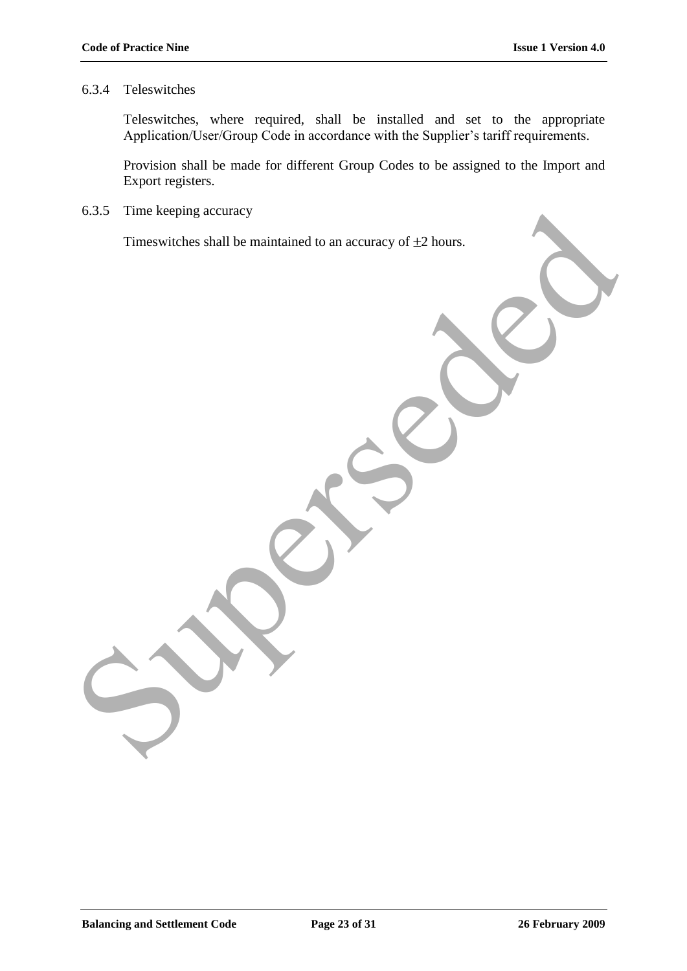#### 6.3.4 Teleswitches

Teleswitches, where required, shall be installed and set to the appropriate Application/User/Group Code in accordance with the Supplier's tariff requirements.

Provision shall be made for different Group Codes to be assigned to the Import and Export registers.

6.3.5 Time keeping accuracy

Timeswitches shall be maintained to an accuracy of  $\pm 2$  hours.

Times keeping accuracy<br>Timeswitches shall be maintained to an accuracy of #2 hours.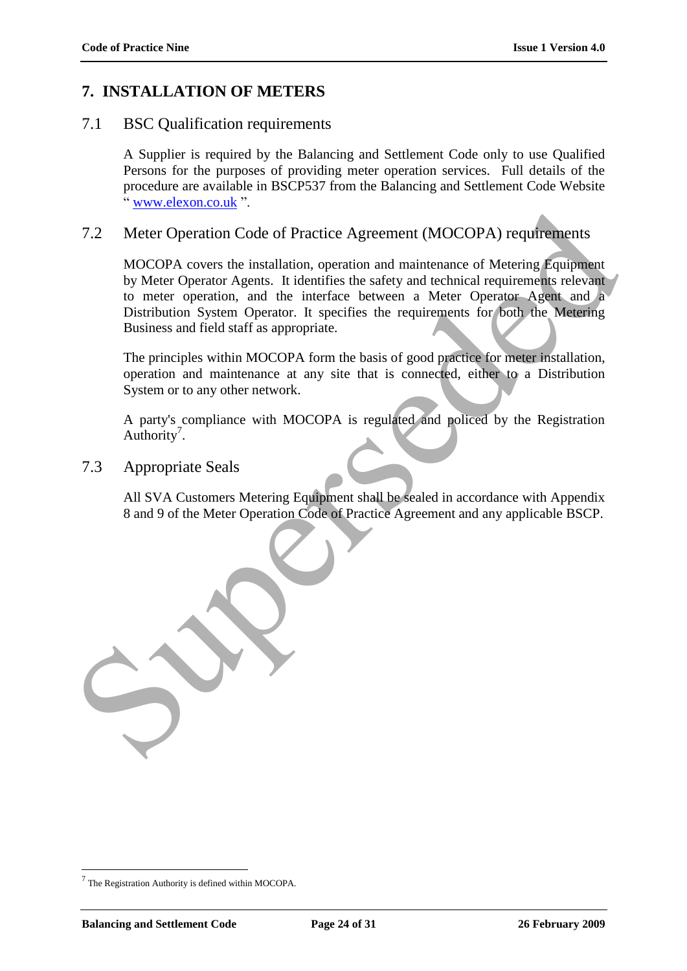# **7. INSTALLATION OF METERS**

# 7.1 BSC Qualification requirements

A Supplier is required by the Balancing and Settlement Code only to use Qualified Persons for the purposes of providing meter operation services. Full details of the procedure are available in BSCP537 from the Balancing and Settlement Code Website www.elexon.co.uk".

# 7.2 Meter Operation Code of Practice Agreement (MOCOPA) requirements

MOCOPA covers the installation, operation and maintenance of Metering Equipment by Meter Operator Agents. It identifies the safety and technical requirements relevant to meter operation, and the interface between a Meter Operator Agent and a Distribution System Operator. It specifies the requirements for both the Metering Business and field staff as appropriate. The Meter Operation Code of Practice Agreement (MOCOPA) requirements<br>
MOCOPA covers the installation, operation and maintenance of Metering Equipment<br>
by Meter Operator Agents. It identifies the safety and technical requir

The principles within MOCOPA form the basis of good practice for meter installation, operation and maintenance at any site that is connected, either to a Distribution System or to any other network.

A party's compliance with MOCOPA is regulated and policed by the Registration Authority<sup>7</sup>.

7.3 Appropriate Seals

All SVA Customers Metering Equipment shall be sealed in accordance with Appendix 8 and 9 of the Meter Operation Code of Practice Agreement and any applicable BSCP.

 $7$  The Registration Authority is defined within MOCOPA.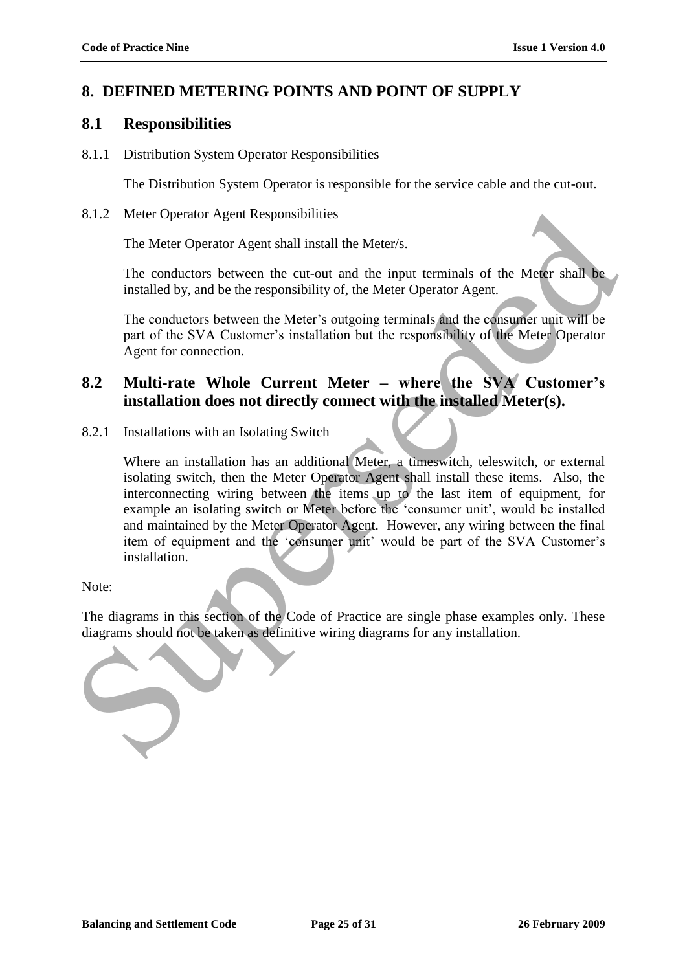## **8. DEFINED METERING POINTS AND POINT OF SUPPLY**

## **8.1 Responsibilities**

8.1.1 Distribution System Operator Responsibilities

The Distribution System Operator is responsible for the service cable and the cut-out.

8.1.2 Meter Operator Agent Responsibilities

The Meter Operator Agent shall install the Meter/s.

The conductors between the cut-out and the input terminals of the Meter shall be installed by, and be the responsibility of, the Meter Operator Agent.

The conductors between the Meter's outgoing terminals and the consumer unit will be part of the SVA Customer's installation but the responsibility of the Meter Operator Agent for connection.

## **8.2 Multi-rate Whole Current Meter – where the SVA Customer's installation does not directly connect with the installed Meter(s).**

8.2.1 Installations with an Isolating Switch

Where an installation has an additional Meter, a timeswitch, teleswitch, or external isolating switch, then the Meter Operator Agent shall install these items. Also, the interconnecting wiring between the items up to the last item of equipment, for example an isolating switch or Meter before the 'consumer unit', would be installed and maintained by the Meter Operator Agent. However, any wiring between the final item of equipment and the 'consumer unit' would be part of the SVA Customer's installation. S.1.2 Meter Operator Agent Responsibilities<br>
The Meter Operator Agent Responsibilities<br>
The conductors between the curious and the input terminals of the Meter Shall Be<br>
installed by, and he the responsibility of, the Met

Note:

The diagrams in this section of the Code of Practice are single phase examples only. These diagrams should not be taken as definitive wiring diagrams for any installation.

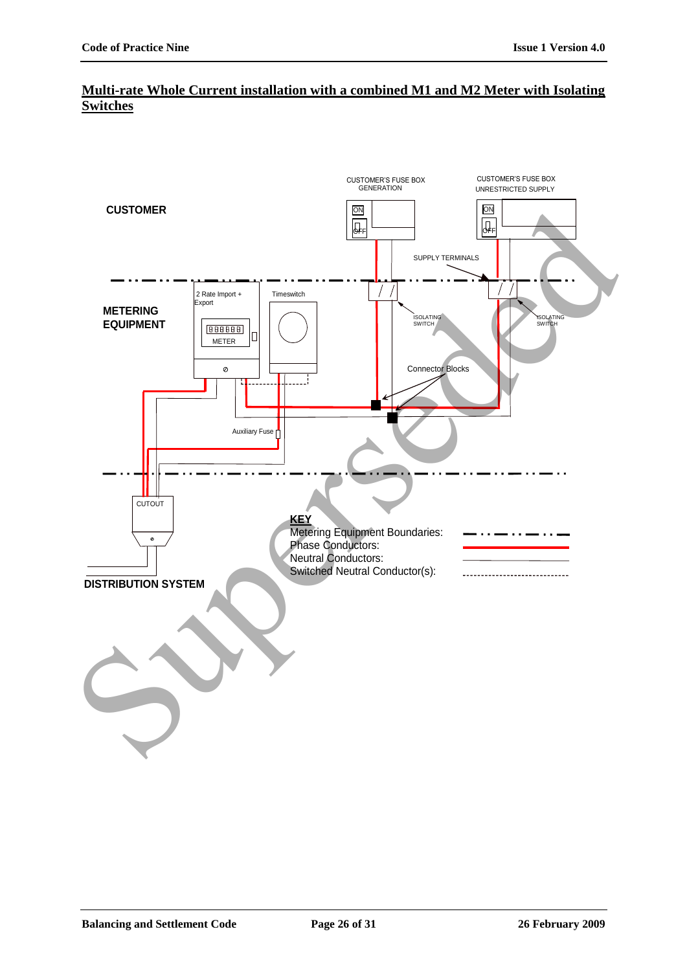## **Multi-rate Whole Current installation with a combined M1 and M2 Meter with Isolating Switches**

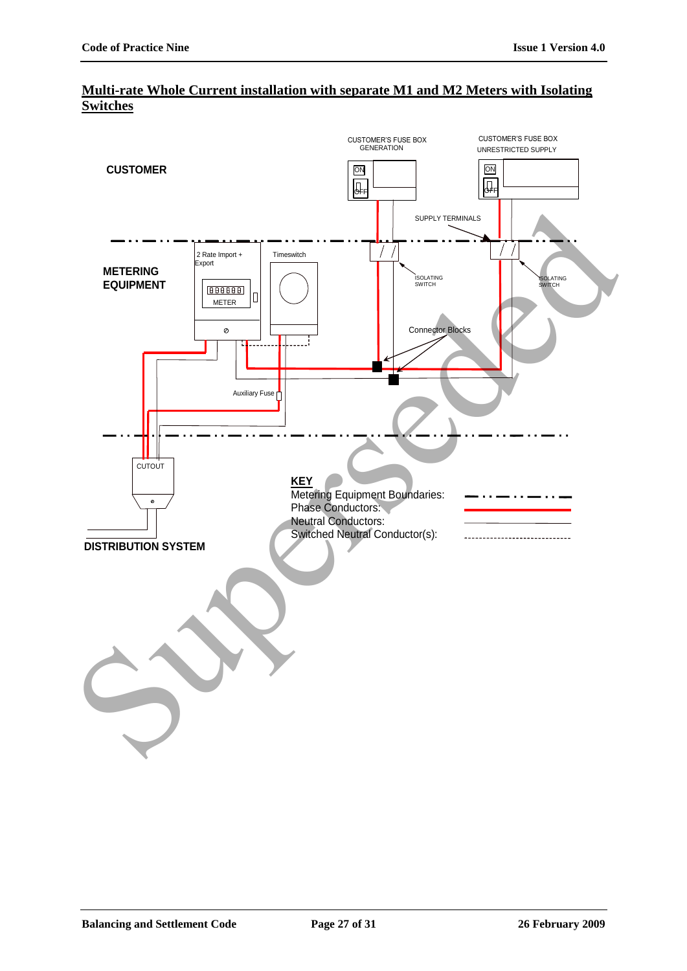

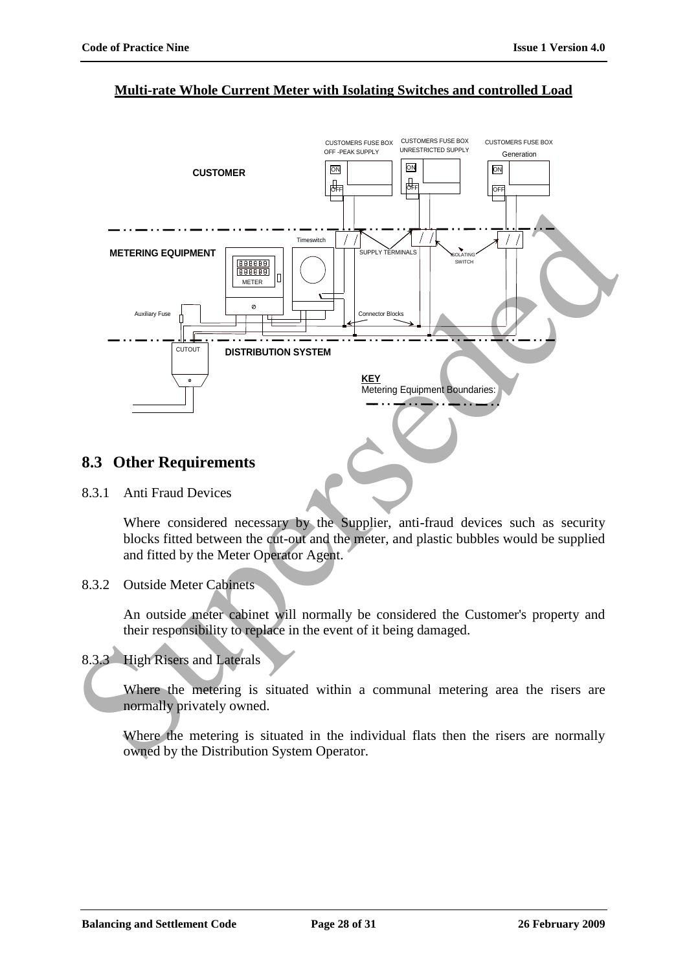### **Multi-rate Whole Current Meter with Isolating Switches and controlled Load**



## **8.3 Other Requirements**

8.3.1 Anti Fraud Devices

Where considered necessary by the Supplier, anti-fraud devices such as security blocks fitted between the cut-out and the meter, and plastic bubbles would be supplied and fitted by the Meter Operator Agent.

8.3.2 Outside Meter Cabinets

An outside meter cabinet will normally be considered the Customer's property and their responsibility to replace in the event of it being damaged.

8.3.3 High Risers and Laterals

Where the metering is situated within a communal metering area the risers are normally privately owned.

Where the metering is situated in the individual flats then the risers are normally owned by the Distribution System Operator.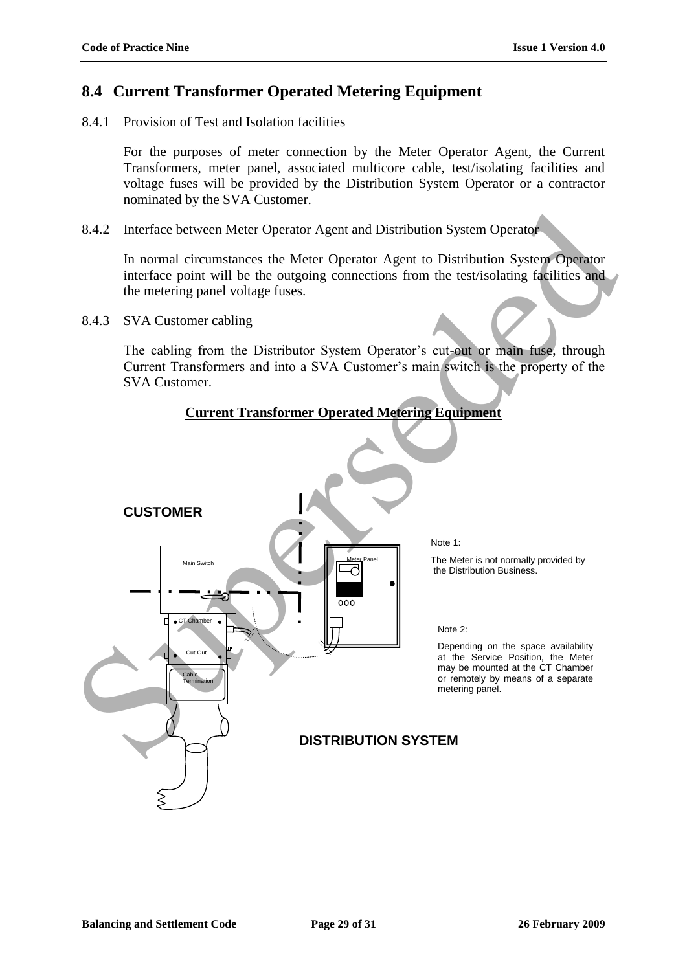## **8.4 Current Transformer Operated Metering Equipment**

8.4.1 Provision of Test and Isolation facilities

For the purposes of meter connection by the Meter Operator Agent, the Current Transformers, meter panel, associated multicore cable, test/isolating facilities and voltage fuses will be provided by the Distribution System Operator or a contractor nominated by the SVA Customer.

8.4.2 Interface between Meter Operator Agent and Distribution System Operator

In normal circumstances the Meter Operator Agent to Distribution System Operator interface point will be the outgoing connections from the test/isolating facilities and the metering panel voltage fuses.

8.4.3 SVA Customer cabling

The cabling from the Distributor System Operator's cut-out or main fuse, through Current Transformers and into a SVA Customer"s main switch is the property of the SVA Customer.

### **Current Transformer Operated Metering Equipment**

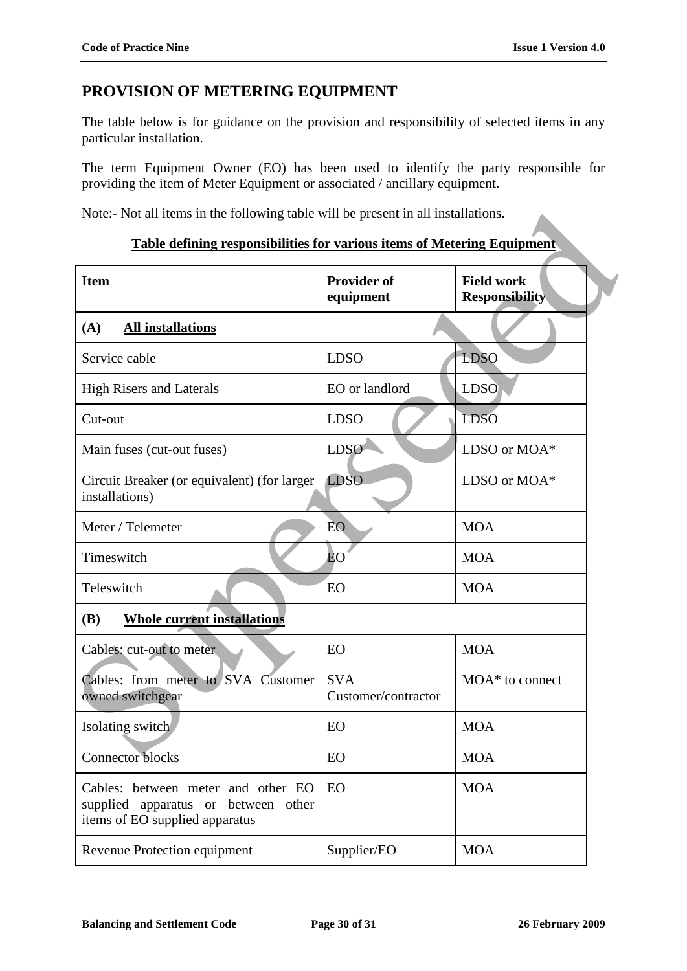# **PROVISION OF METERING EQUIPMENT**

The table below is for guidance on the provision and responsibility of selected items in any particular installation.

The term Equipment Owner (EO) has been used to identify the party responsible for providing the item of Meter Equipment or associated / ancillary equipment.

Note:- Not all items in the following table will be present in all installations.

#### **Table defining responsibilities for various items of Metering Equipment**

| Note:- Not all items in the following table will be present in all installations.                           |                                   |                                            |  |  |
|-------------------------------------------------------------------------------------------------------------|-----------------------------------|--------------------------------------------|--|--|
| <b>Table defining responsibilities for various items of Metering Equipment</b>                              |                                   |                                            |  |  |
| <b>Item</b>                                                                                                 | <b>Provider of</b><br>equipment   | <b>Field work</b><br><b>Responsibility</b> |  |  |
| (A)<br><b>All installations</b>                                                                             |                                   |                                            |  |  |
| Service cable                                                                                               | <b>LDSO</b>                       | <b>LDSO</b>                                |  |  |
| <b>High Risers and Laterals</b>                                                                             | EO or landlord                    | <b>LDSO</b>                                |  |  |
| Cut-out                                                                                                     | <b>LDSO</b>                       | <b>LDSO</b>                                |  |  |
| Main fuses (cut-out fuses)                                                                                  | <b>LDSO</b>                       | LDSO or MOA*                               |  |  |
| Circuit Breaker (or equivalent) (for larger<br>installations)                                               | <b>LDSO</b>                       | LDSO or MOA*                               |  |  |
| Meter / Telemeter                                                                                           | <b>EO</b>                         | <b>MOA</b>                                 |  |  |
| Timeswitch                                                                                                  | ĒО                                | <b>MOA</b>                                 |  |  |
| Teleswitch                                                                                                  | EO                                | <b>MOA</b>                                 |  |  |
| <b>Whole current installations</b><br><b>(B)</b>                                                            |                                   |                                            |  |  |
| Cables: cut-out to meter.                                                                                   | EO                                | <b>MOA</b>                                 |  |  |
| Cables: from meter to SVA Customer<br>owned switchgear                                                      | <b>SVA</b><br>Customer/contractor | $MOA^*$ to connect                         |  |  |
| Isolating switch                                                                                            | EO                                | <b>MOA</b>                                 |  |  |
| <b>Connector blocks</b>                                                                                     | EO                                | <b>MOA</b>                                 |  |  |
| Cables: between meter and other EO<br>supplied apparatus or between other<br>items of EO supplied apparatus | EO                                | <b>MOA</b>                                 |  |  |
| Revenue Protection equipment                                                                                | Supplier/EO                       | <b>MOA</b>                                 |  |  |